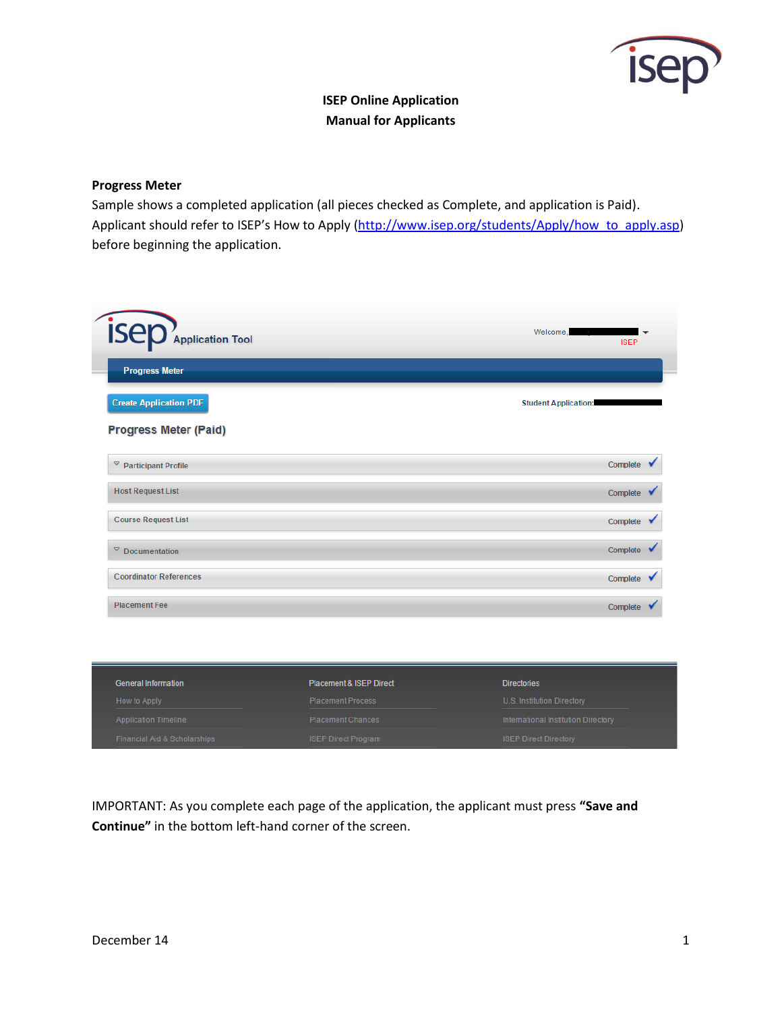

# **ISEP Online Application Manual for Applicants**

# **Progress Meter**

Sample shows a completed application (all pieces checked as Complete, and application is Paid). Applicant should refer to ISEP's How to Apply ([http://www.isep.org/students/Apply/how\\_to\\_apply.asp\)](http://www.isep.org/students/Apply/how_to_apply.asp) before beginning the application.

| <b>ISED</b> Application Tool     |                                    | Welcome,<br><b>ISEP</b>             |  |
|----------------------------------|------------------------------------|-------------------------------------|--|
| <b>Progress Meter</b>            |                                    |                                     |  |
| <b>Create Application PDF</b>    |                                    | <b>Student Application:</b>         |  |
| <b>Progress Meter (Paid)</b>     |                                    |                                     |  |
| $\heartsuit$ Participant Profile |                                    | Complete                            |  |
| <b>Host Request List</b>         |                                    | Complete                            |  |
| <b>Course Request List</b>       |                                    | Complete                            |  |
| $\degree$ Documentation          |                                    | Complete                            |  |
| <b>Coordinator References</b>    |                                    | Complete                            |  |
| <b>Placement Fee</b>             |                                    | Complete                            |  |
|                                  |                                    |                                     |  |
|                                  |                                    |                                     |  |
| <b>General Information</b>       | <b>Placement &amp; ISEP Direct</b> | <b>Directories</b>                  |  |
| How to Apply                     | <b>Placement Process</b>           | U.S. Institution Directory          |  |
| <b>Application Timeline</b>      | <b>Placement Chances</b>           | International Institution Directory |  |
| Financial Aid & Scholarships     | <b>ISEP Direct Program</b>         | <b>ISEP Direct Directory</b>        |  |

IMPORTANT: As you complete each page of the application, the applicant must press **"Save and Continue"** in the bottom left-hand corner of the screen.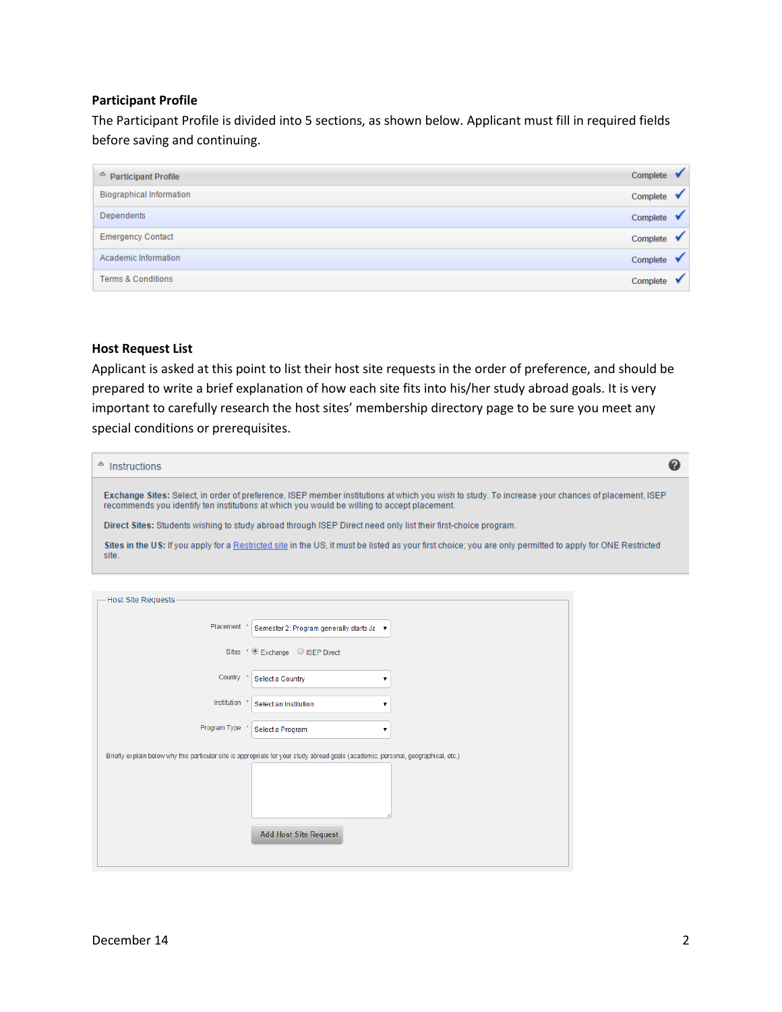## **Participant Profile**

The Participant Profile is divided into 5 sections, as shown below. Applicant must fill in required fields before saving and continuing.

| $\triangle$ Participant Profile | Complete |  |
|---------------------------------|----------|--|
| <b>Biographical Information</b> | Complete |  |
| Dependents                      | Complete |  |
| <b>Emergency Contact</b>        | Complete |  |
| Academic Information            | Complete |  |
| <b>Terms &amp; Conditions</b>   | Complete |  |

# **Host Request List**

Applicant is asked at this point to list their host site requests in the order of preference, and should be prepared to write a brief explanation of how each site fits into his/her study abroad goals. It is very important to carefully research the host sites' membership directory page to be sure you meet any special conditions or prerequisites.

| <b>Instructions</b>                                                                                                                                                                                                                             | Ø |
|-------------------------------------------------------------------------------------------------------------------------------------------------------------------------------------------------------------------------------------------------|---|
| Exchange Sites: Select, in order of preference, ISEP member institutions at which you wish to study. To increase your chances of placement, ISEP<br>recommends you identify ten institutions at which you would be willing to accept placement. |   |
| Direct Sites: Students wishing to study abroad through ISEP Direct need only list their first-choice program.                                                                                                                                   |   |
| Sites in the US: If you apply for a Restricted site in the US, it must be listed as your first choice; you are only permitted to apply for ONE Restricted<br>site.                                                                              |   |
|                                                                                                                                                                                                                                                 |   |
| Hoot Cita Dogueete                                                                                                                                                                                                                              |   |

| <b>HOSE SILE REQUESTS</b> |                                                                                                                                    |
|---------------------------|------------------------------------------------------------------------------------------------------------------------------------|
| Placement                 | Semester 2: Program generally starts Ja ▼                                                                                          |
|                           | Sites * C Exchange C ISEP Direct                                                                                                   |
| Country                   | Select a Country<br>▼                                                                                                              |
| Institution               | Select an Institution<br>▼                                                                                                         |
| Program Type              | Select a Program<br>▼                                                                                                              |
|                           | Briefly explain below why this particular site is appropriate for your study abroad goals (academic, personal, geographical, etc.) |
|                           |                                                                                                                                    |
|                           |                                                                                                                                    |
|                           | <b>Add Host Site Request</b>                                                                                                       |
|                           |                                                                                                                                    |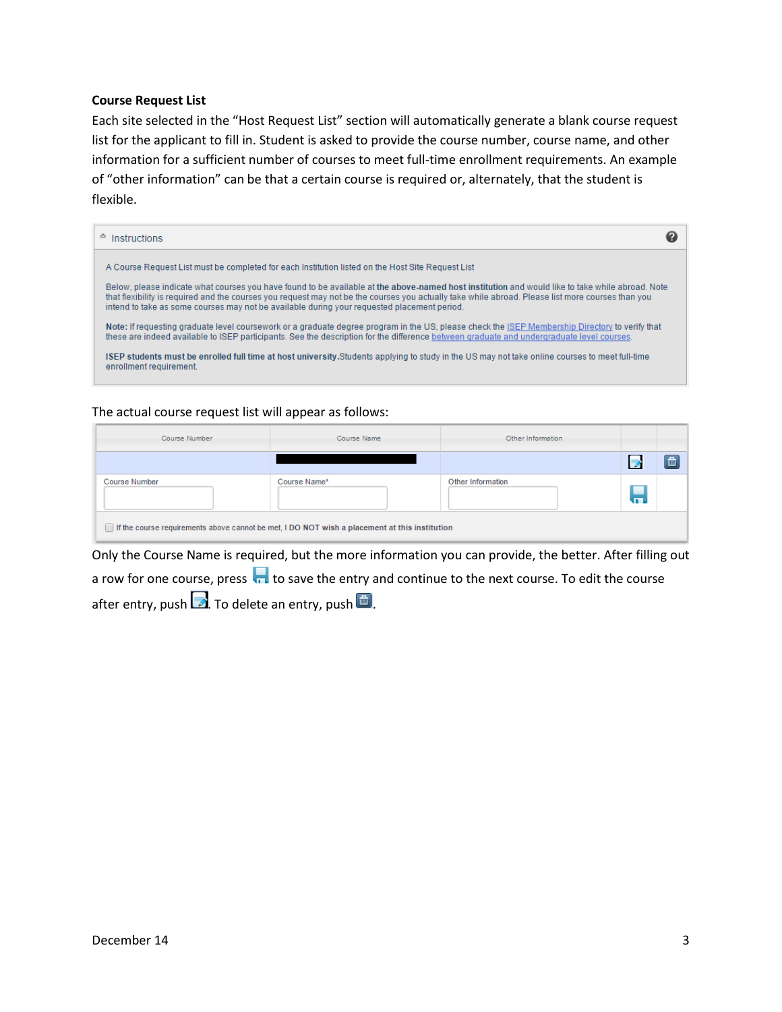#### **Course Request List**

Each site selected in the "Host Request List" section will automatically generate a blank course request list for the applicant to fill in. Student is asked to provide the course number, course name, and other information for a sufficient number of courses to meet full-time enrollment requirements. An example of "other information" can be that a certain course is required or, alternately, that the student is flexible.

| $\triangle$ Instructions                                                                                                                                                                                                                                                                                                                                                                             |  |
|------------------------------------------------------------------------------------------------------------------------------------------------------------------------------------------------------------------------------------------------------------------------------------------------------------------------------------------------------------------------------------------------------|--|
| A Course Request List must be completed for each Institution listed on the Host Site Request List                                                                                                                                                                                                                                                                                                    |  |
| Below, please indicate what courses you have found to be available at the above-named host institution and would like to take while abroad. Note<br>that flexibility is required and the courses you request may not be the courses you actually take while abroad. Please list more courses than you<br>intend to take as some courses may not be available during your requested placement period. |  |
| Note: If requesting graduate level coursework or a graduate degree program in the US, please check the ISEP Membership Directory to verify that<br>these are indeed available to ISEP participants. See the description for the difference between graduate and undergraduate level courses.                                                                                                         |  |
| ISEP students must be enrolled full time at host university.Students applying to study in the US may not take online courses to meet full-time<br>enrollment requirement.                                                                                                                                                                                                                            |  |

## The actual course request list will appear as follows:

| Course Number                                                                                 | Course Name  | Other Information |   |   |  |
|-----------------------------------------------------------------------------------------------|--------------|-------------------|---|---|--|
|                                                                                               |              |                   |   | 冊 |  |
| <b>Course Number</b>                                                                          | Course Name* | Other Information | Н |   |  |
| If the course requirements above cannot be met, I DO NOT wish a placement at this institution |              |                   |   |   |  |

Only the Course Name is required, but the more information you can provide, the better. After filling out a row for one course, press  $\overline{a}$  to save the entry and continue to the next course. To edit the course after entry, push  $\Box$  To delete an entry, push  $\Box$ .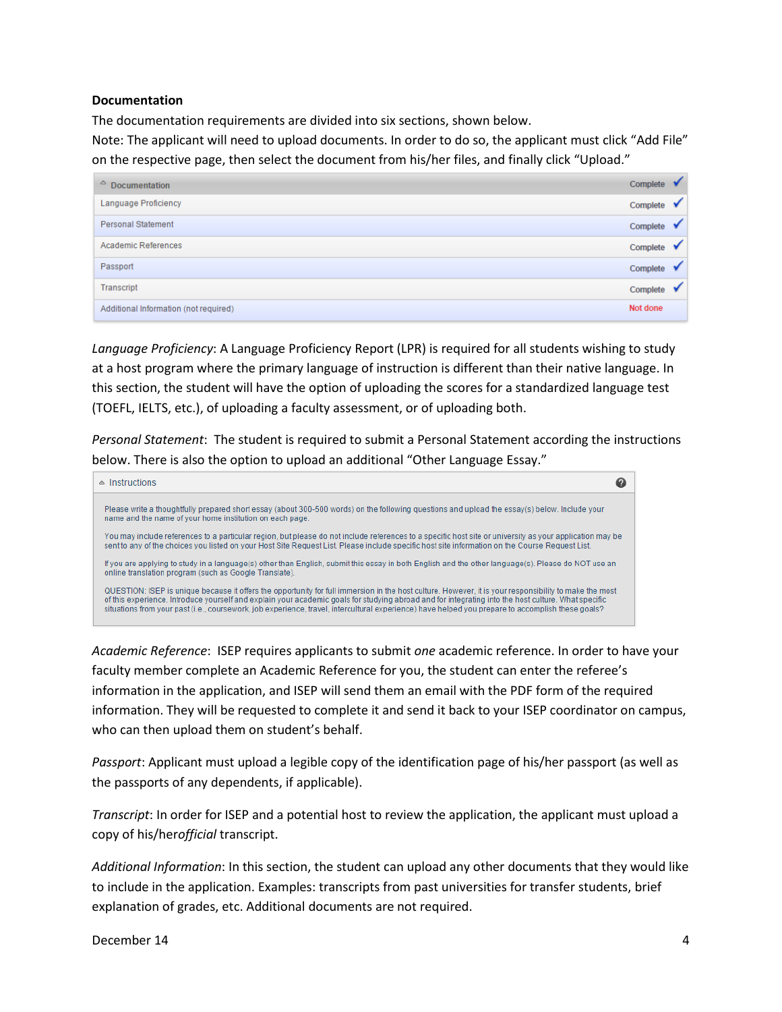## **Documentation**

The documentation requirements are divided into six sections, shown below.

Note: The applicant will need to upload documents. In order to do so, the applicant must click "Add File" on the respective page, then select the document from his/her files, and finally click "Upload."

| $\triangle$<br><b>Documentation</b>   | Complete |  |
|---------------------------------------|----------|--|
| Language Proficiency                  | Complete |  |
| <b>Personal Statement</b>             | Complete |  |
| <b>Academic References</b>            | Complete |  |
| Passport                              | Complete |  |
| Transcript                            | Complete |  |
| Additional Information (not required) | Not done |  |

*Language Proficiency*: A Language Proficiency Report (LPR) is required for all students wishing to study at a host program where the primary language of instruction is different than their native language. In this section, the student will have the option of uploading the scores for a standardized language test (TOEFL, IELTS, etc.), of uploading a faculty assessment, or of uploading both.

*Personal Statement*: The student is required to submit a Personal Statement according the instructions below. There is also the option to upload an additional "Other Language Essay."



*Academic Reference*: ISEP requires applicants to submit *one* academic reference. In order to have your faculty member complete an Academic Reference for you, the student can enter the referee's information in the application, and ISEP will send them an email with the PDF form of the required information. They will be requested to complete it and send it back to your ISEP coordinator on campus, who can then upload them on student's behalf.

*Passport*: Applicant must upload a legible copy of the identification page of his/her passport (as well as the passports of any dependents, if applicable).

*Transcript*: In order for ISEP and a potential host to review the application, the applicant must upload a copy of his/her*official* transcript.

*Additional Information*: In this section, the student can upload any other documents that they would like to include in the application. Examples: transcripts from past universities for transfer students, brief explanation of grades, etc. Additional documents are not required.